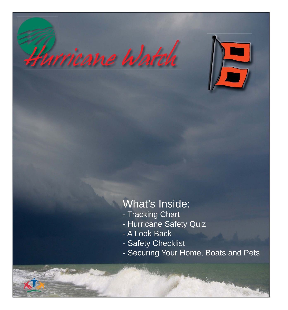



## What's Inside:

- Tracking Chart
- Hurricane Safety Quiz
- A Look Back
- Safety Checklist
- Securing Your Home, Boats and Pets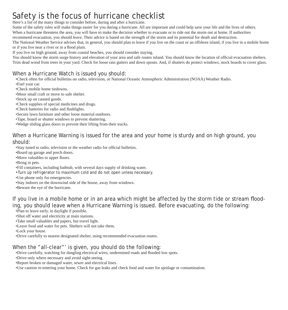## Safety is the focus of hurricane checklist

Here's a list of the many things to consider before, during and after a hurricane.

Some of the safety rules will make things easier for you during a hurricane. All are important and could help save your life and the lives of others. When a hurricane threatens the area, you will have to make the decision whether to evacuate or to ride out the storm out at home. If authorities recommend evacuation, you should leave. Their advice is based on the strength of the storm and its potential for death and destruction.

The National Weather Service advises that, in general, you should plan to leave if you live on the coast or an offshore island, if you live in a mobile home or if you live near a river or in a flood plain.

If you live on high ground, away from coastal beaches, you should consider staying.

You should know the storm surge history and elevation of your area and safe routes inland. You should know the location of official evacuation shelters. Trim dead wood from trees in your yard. Check for loose rain gutters and down spouts. And, if shutters do protect windows, stock boards to cover glass.

## When a Hurricane Watch is issued you should:

•Check often for official bulletins on radio, television, or National Oceanic Atmospheric Administration (NOAA) Weather Radio.

- •Fuel your car.
- •Check mobile home tiedowns.
- •Moor small craft or move to safe shelter.
- •Stock up on canned goods.
- •Check supplies of special medicines and drugs.
- •Check batteries for radio and flashlights.
- •Secure lawn furniture and other loose material outdoors.
- •Tape, board or shutter windows to prevent shattering.
- •Wedge sliding glass doors to prevent their lifting from their tracks.

#### When a Hurricane Warning is issued for the area and your home is sturdy and on high ground, you should:

- •Stay tuned to radio, television or the weather radio for official bulletins.
- •Board up garage and porch doors.
- •Move valuables to upper floors.
- •Bring in pets.
- •Fill containers, including bathtub, with several days supply of drinking water.
- •Turn up refrigerator to maximum cold and do not open unless necessary.
- •Use phone only for emergencies.
- •Stay indoors on the downwind side of the house, away from windows.
- •Beware the eye of the hurricane.

If you live in a mobile home or in an area which might be affected by the storm tide or stream flooding, you should leave when a Hurricane Warning is issued. Before evacuating, do the following:

- •Plan to leave early, in daylight if possible.
- •Shut off water and electricity at main stations.
- •Take small valuables and papers, but travel light.
- •Leave food and water for pets. Shelters will not take them.
- •Lock your house.
- •Drive carefully to nearest designated shelter, using recommended evacuation routes.

#### When the "all-clear"' is given, you should do the following:

- •Drive carefully, watching for dangling electrical wires, undermined roads and flooded low spots.
- •Drive only where necessary and avoid sight-seeing.
- •Report broken or damaged water, sewer and electrical lines.
- •Use caution re-entering your home. Check for gas leaks and check food and water for spoilage or contamination.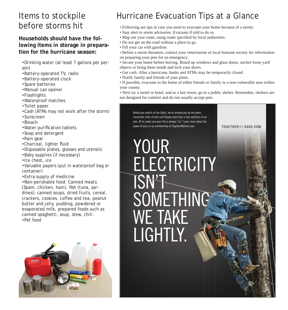## Items to stockpile before storms hit

#### **Households should have the following items in storage in preparation for the hurricane season:**

- •Drinking water (at least 7 gallons per person)
- •Battery-operated TV, radio
- •Battery-operated clock
- •Spare batteries
- •Manual can opener
- •Flashlights
- •Waterproof matches
- •Toilet paper
- •Cash (ATMs may not work after the storm)
- •Sunscreen
- •Bleach
- Water purification tablets
- •Soap and detergent
- •Rain gear
- •Charcoal, lighter fluid
- •Disposable plates, glasses and utensils
- •Baby supplies (if necessary)
- •Ice chest, ice
- •Valuable papers (put in waterproof bag or container)
- •Extra supply of medicine

•Non-perishable food: Canned meats (Spam, chicken, ham), fish (tuna, sardines); canned soups, dried fruits, cereal, crackers, cookies, coffee and tea, peanut butter and jelly, pudding, powdered or evaporated milk, prepared foods such as canned spaghetti, soup, stew, chili. •Pet food

## Hurricane Evacuation Tips at a Glance

- Following are tips in case you need to evacuate your home because of a storm:
- Stay alert to storm advisories. Evacuate if told to do so.
- Map out your route, using roads specified by local authorities.
- Do not get on the road without a place to go.
- Fill your car with gasoline.
- Before a storm threatens, contact your veterinarian or local humane society for information on preparing your pets for an emergency.
- Secure your home before leaving. Board up windows and glass doors, anchor loose yard objects or bring them inside and lock your doors.
- Get cash. After a hurricane, banks and ATMs may be temporarily closed.
- Notify family and friends of your plans.
- If possible, evacuate to the home of either friends or family in a non-vulnerable area within your county.

• Next try a motel or hotel, and as a last resort, go to a public shelter. Remember, shelters are not designed for comfort and do not usually accept pets.

Before you switch on the lights, we've already put up the poles, connected miles of wire and flipped more than a few switches of our own. All to make sure your life is always "on." Learn more about the power of your co-op membership at TogetherWeSave.com.

TOGETHERWESAVE.COM

## YOUR **ELECTRICITY** ISN'T SOMETHING WE TAKE LIGHTLY.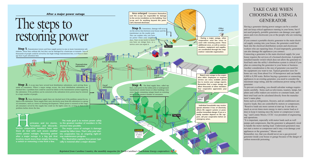## TAKE CARE WHEN CHOOSING & USING A GENERATOR

Having a generator during power outages can be a comfort and can keep critical appliances running in your home, but if not used properly, portable generators can damage your appliances and even electrocute you or the people who are restoring power.

If you connect a portable electric generator to the main electrical supply coming into your house, the generator could feed back into the electrical distribution system and electrocute workers who are repairing lines. If used improperly, generators can also damage the appliances you connect.

Connecting a generator to the main electrical supply for your house requires the services of a licensed electrician. A properly installed transfer switch which does not allow the generator to feed back onto the utility's distribution system is critical if you plan on connecting the generator to your home or business. Another consideration is the size of generator you need for the equipment you want to run. Typical generator sizes for home use vary from about 8 to 14 horsepower and can handle 4,000 to 8,500 watts. Before buying a generator or connecting appliances to an existing generator, you need to consider the maximum surge rating, and the continuous power rating of the generator.

**After a major power outage After a major power outage Area enlarged: Consumers themselves** 

# The steps to restoring power

**Step 1.** Transmission towers and lines supply power to one or more transmission substations. These lines seldom fail, but they can be damaged by a hurricane or tornado. Tens of thousands of people could be served by one high-voltage transmission line, so if there is damage here it gets attention first.

> To prevent overloading, you should calculate wattage requirements carefully. Items such as televisions, toasters, lamps, hot plates and coffee makers are resistive or constant loads, and their total load can be calculated directly from the manufacturer's name plate.

**Step 2.** A co-op may have several local distribution substations, each serving thousands of consumers. When a major outage occurs, the local distribution substations are checked first. A problem here could be caused by failure in the transmission system supplying the substation. If the problem can be corrected at the substation level, power may be restored to a large number of people.

> Items such as refrigerators, freezers, and air conditioners are reactive loads; they are controlled by motors or compressors. "Reactive loads use more current at start up. It can take as much as seven times more energy to start a motor load as it does to keep it running once the motor or compressor is turning," said Lonnie Moore, CCEC vice president of engineering and operations.

**Step 3.** Main distribution supply lines are checked next if the problem cannot be isolated at the substation. These supply lines carry electricity away from the substation to a group of consumers, such as a town or housing development. When power is restored at this stage, all consumers served by this supply line could see the lights come on, as long as there is no problem farther down the line.

> "It is important, especially with motor loads such as well pumps and compressors, that the generator is adequately sized to handle the motor starting load. Undersized generators may not start a motor or compressor and it may even damage your appliances or the generator," Moore said.

> Remember, too, that you should never use a gas-powered generator inside your house or garage because of the danger of carbon monoxide poisoning.

**Step 5.** Sometimes, damage will occur on the service line between your house and the transformer on the nearby pole. This can explain why you have no power when your neighbor does. Your co-op needs to know you have an outage here, so a service crew can repair it. **Tap Line**

**Tornadoes and blizzards. shortest time possible. Electric cooperative members have seen after a major outage is a big job that way maintenance program. involves much more than simply throwing a switch or removing a tree from a line.**

**urricanes and ice storms. to the greatest number of members in the The main goal is to restore power safely**

**them all. And with such severe weather caused by fallen trees. That's why your eleccomes power outages. Restoring power tric cooperative has an ongoing right-of-The major cause of outages is damage**

> **This illustration explains how power typically is restored after a major disaster.**

**Step 4.** The final supply lines, called tap lines, carry power to the utility poles or underground transformers outside houses or other buildings. Line crews fix the remaining outages based on restoring service to the greatest number of consumers.

#### *Co-op office*

*Local substation* *Local substation*

*Local substation*



*Other co-ops*

**Report your outage to the cooperative office. Employees or response services use every available phone line to receive your outage reports. Remember that a major outage can affect thousands of other members. Your cooperative appreciates your patience.**

**During a major outage, other cooperatives send line crews to assist with restoring power. These additional crews, as well as communications, equipment and supplies, are coordinated through the cooperatives' statewide organization.**

**(not the co-op) are responsible for damage to the service installation on the building. Your co-op can't fix anything beyond this point. Call a licensed electrician.**

*Transmission substation*

> **Individual households may receive special attention if loss of electricity affects life support systems or poses another immediate danger. If you or a family member depend on life support, call your cooperative before an emergency arises.**

**Tap Line**

**DANGER!** Stay clear of fallen lines

*Reprinted from Carolina Country, the monthly magazine for North Carolina's Touchstone Energy cooperatives*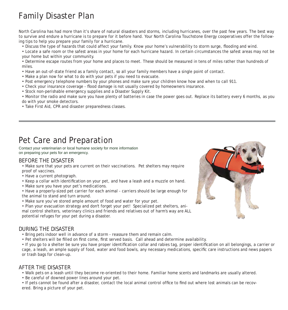## Family Disaster Plan

North Carolina has had more than it's share of natural disasters and storms, including hurricanes, over the past few years. The best way to survive and endure a hurricane is to prepare for it before hand. Your North Carolina Touchstone Energy cooperatives offer the following tips to help you prepare your family for a hurricane.

• Discuss the type of hazards that could affect your family. Know your home's vulnerability to storm surge, flooding and wind.

• Locate a safe room or the safest areas in your home for each hurricane hazard. In certain circumstances the safest areas may not be your home but within your community.

• Determine escape routes from your home and places to meet. These should be measured in tens of miles rather than hundreds of miles.

• Have an out-of-state friend as a family contact, so all your family members have a single point of contact.

- Make a plan now for what to do with your pets if you need to evacuate.
- Post emergency telephone numbers by your phones and make sure your children know how and when to call 911.
- Check your insurance coverage flood damage is not usually covered by homeowners insurance.
- Stock non-perishable emergency supplies and a Disaster Supply Kit.

• Monitor the radio and make sure you have plenty of batteries in case the power goes out. Replace its battery every 6 months, as you do with your smoke detectors.

• Take First Aid, CPR and disaster preparedness classes.

## Pet Care and Preparation

Contact your veterinarian or local humane society for more information on preparing your pets for an emergency.

#### BEFORE THE DISASTER

- Make sure that your pets are current on their vaccinations. Pet shelters may require proof of vaccines.
- Have a current photograph.
- Keep a collar with identification on your pet, and have a leash and a muzzle on hand.
- Make sure you have your pet's medications.

• Have a properly-sized pet carrier for each animal - carriers should be large enough for the animal to stand and turn around.

• Make sure you've stored ample amount of food and water for your pet.

• Plan your evacuation strategy and don't forget your pet! Specialized pet shelters, animal control shelters, veterinary clinics and friends and relatives out of harm's way are ALL potential refuges for your pet during a disaster.

### DURING THE DISASTER

- Bring pets indoor well in advance of a storm reassure them and remain calm.
- Pet shelters will be filled on first come, first served basis. Call ahead and determine availability.

• If you go to a shelter be sure you have proper identification collar and rabies tag, proper identification on all belongings, a carrier or cage, a leash, an ample supply of food, water and food bowls, any necessary medications, specific care instructions and news papers or trash bags for clean-up.

#### AFTER THE DISASTER

• Walk pets on a leash until they become re-oriented to their home. Familiar home scents and landmarks are usually altered.

• Be careful of downed power lines around your pet.

• If pets cannot be found after a disaster, contact the local animal control office to find out where lost animals can be recovered. Bring a picture of your pet.

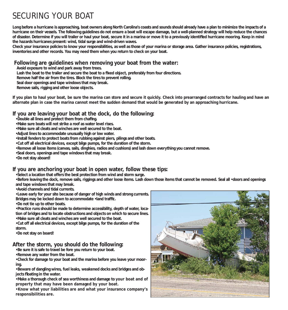## SECURING YOUR BOAT

**Long before a hurricane is approaching, boat owners along North Carolina's coasts and sounds should already have a plan to minimize the impacts of a hurricane on their vessels. The following guidelines do not ensure a boat will escape damage, but a well-planned strategy will help reduce the chances**  of disaster. Determine if you will trailer or haul your boat, secure it in a marina or move it to a previously identified hurricane mooring. Keep in mind **the hazards hurricanes present: wind, tidal surge and wind-driven waves.**

**Check your insurance policies to know your responsibilities, as well as those of your marina or storage area. Gather insurance policies, registrations, inventories and other records. You may need them when you return to check on your boat.**

#### **Following are guidelines when removing your boat from the water:**

 **Avoid exposure to wind and park away from trees.**

Lash the boat to the trailer and secure the boat to a fixed object, preferably from four directions.

 **Remove half the air from the tires. Block the tires to prevent rolling.**

 **Seal door openings and tape windows that may break.**

 **Remove sails, rigging and other loose objects.**

**If you plan to haul your boat, be sure the marina can store and secure it quickly. Check into prearranged contracts for hauling and have an alternate plan in case the marina cannot meet the sudden demand that would be generated by an approaching hurricane.**

#### **If you are leaving your boat at the dock, do the following:**

- •Double all lines and protect them from chafing.
- **•Make sure boats will not strike a roof as water level rises.**
- **•Make sure all cleats and winches are well secured to the boat.**
- **•Adjust lines to accommodate unusually high or low water.**
- **•Install fenders to protect boats from rubbing against piers, pilings and other boats.**
- **•Cut off all electrical devices, except bilge pumps, for the duration of the storm.**
- **•Remove all loose items (canvas, sails, dinghies, radios and cushions) and lash down everything you cannot remove.**
- **•Seal doors, openings and tape windows that may break.**

**•Do not stay aboard!** 

#### **If you are anchoring your boat in open water, follow these tips:**

**•Select a location that offers the best protection from wind and storm surge.**

**•Before leaving the dock, remove sails, riggings and other loose items. Lash down those items that cannot be removed. Seal all •doors and openings and tape windows that may break.**

**•Avoid channels and tidal currents.**

**•Leave early for your site because of danger of high winds and strong currents.** 

Bridges may be locked down to accommodate ·land traffic.

**•Do not tie up to other boats.**

**•Practice runs should be made to determine accessibility, depth of water, location of bridges and to locate obstructions and objects on which to secure lines. •Make sure all cleats and winches are well secured to the boat.**

**•Cut off all electrical devices, except bilge pumps, for the duration of the storm.**

**•Do not stay on board!** 

#### **After the storm, you should do the following:**

**•Be sure it is safe to travel be fore you return to your boat.**

**•Remove any water from the boat.**

**•Check for damage to your boat and the marina before you leave your mooring.**

**•Beware of dangling wires, fuel leaks, weakened docks and bridges and objects floating in the water.** 

**•Make a thorough check of sea worthiness and damage to your boat and of property that may have been damaged by your boat.**

**•Know what your liabilities are and what your insurance company's responsibilities are.**